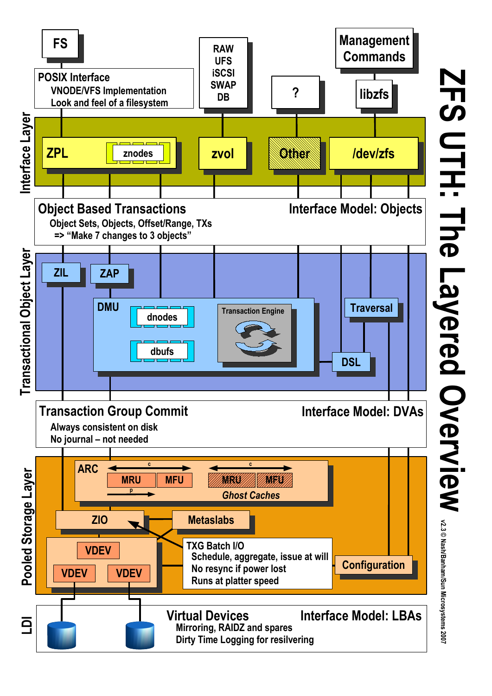